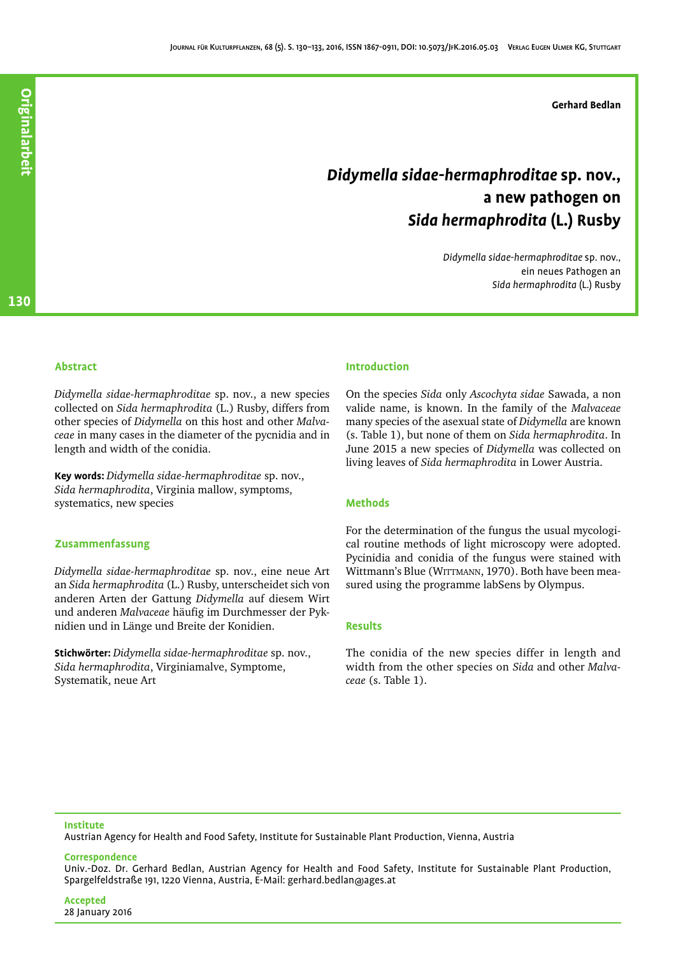# *Didymella sidae-hermaphroditae* **sp. nov., a new pathogen on** *Sida hermaphrodita* **(L.) Rusby**

*Didymella sidae-hermaphroditae* sp. nov., ein neues Pathogen an *Sida hermaphrodita* (L.) Rusby

130

# **Abstract**

*Didymella sidae-hermaphroditae* sp. nov., a new species collected on *Sida hermaphrodita* (L.) Rusby, differs from other species of *Didymella* on this host and other *Malvaceae* in many cases in the diameter of the pycnidia and in length and width of the conidia.

**Key words:** *Didymella sidae-hermaphroditae* sp. nov., *Sida hermaphrodita*, Virginia mallow, symptoms, systematics, new species

## **Zusammenfassung**

*Didymella sidae-hermaphroditae* sp. nov., eine neue Art an *Sida hermaphrodita* (L.) Rusby, unterscheidet sich von anderen Arten der Gattung *Didymella* auf diesem Wirt und anderen *Malvaceae* häufig im Durchmesser der Pyknidien und in Länge und Breite der Konidien.

**Stichwörter:** *Didymella sidae-hermaphroditae* sp. nov., *Sida hermaphrodita*, Virginiamalve, Symptome, Systematik, neue Art

## **Introduction**

On the species *Sida* only *Ascochyta sidae* Sawada, a non valide name, is known. In the family of the *Malvaceae* many species of the asexual state of *Didymella* are known (s. Table [1](#page-1-0)), but none of them on *Sida hermaphrodita*. In June 2015 a new species of *Didymella* was collected on living leaves of *Sida hermaphrodita* in Lower Austria.

## **Methods**

For the determination of the fungus the usual mycological routine methods of light microscopy were adopted. Pycinidia and conidia of the fungus were stained with Wittmann's Blue (WITTMANN, 1970). Both have been measured using the programme labSens by Olympus.

## **Results**

The conidia of the new species differ in length and width from the other species on *Sida* and other *Malvaceae* (s. Table [1](#page-1-0)).

## **Institute**

Austrian Agency for Health and Food Safety, Institute for Sustainable Plant Production, Vienna, Austria

#### **Correspondence**

Univ.-Doz. Dr. Gerhard Bedlan, Austrian Agency for Health and Food Safety, Institute for Sustainable Plant Production, Spargelfeldstraße 191, 1220 Vienna, Austria, E-Mail: gerhard.bedlan@ages.at

**Accepted** 28 January 2016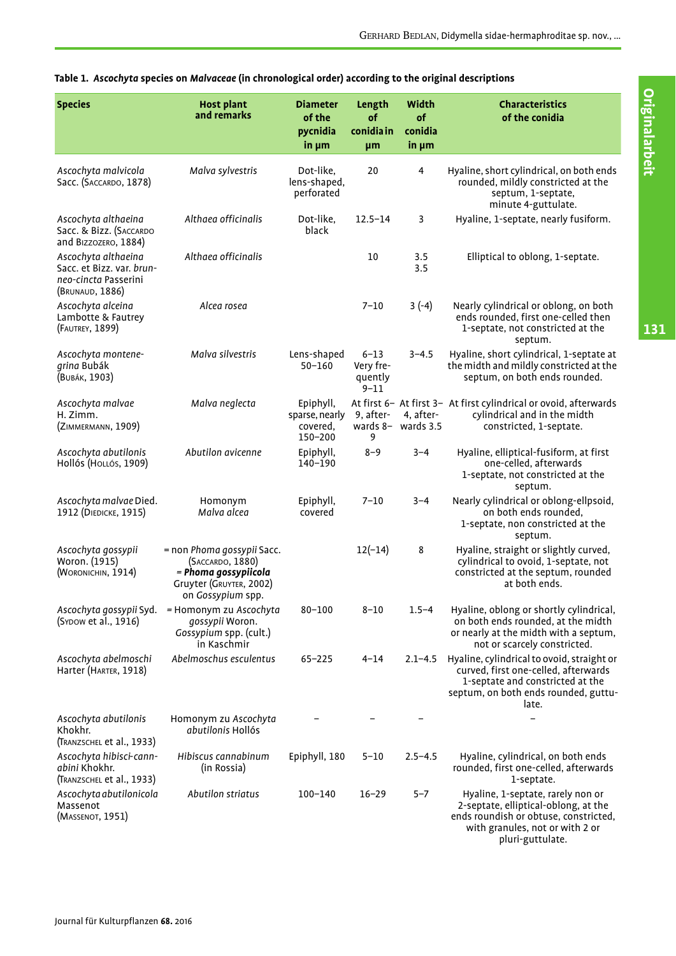| <b>Species</b>                                                                              | <b>Host plant</b><br>and remarks                                                                                       | <b>Diameter</b><br>of the<br>pycnidia<br>$in \mu m$ | Length<br>of<br>conidia in<br>µm             | Width<br>of<br>conidia<br>in $\mu$ m | <b>Characteristics</b><br>of the conidia                                                                                                                                  |
|---------------------------------------------------------------------------------------------|------------------------------------------------------------------------------------------------------------------------|-----------------------------------------------------|----------------------------------------------|--------------------------------------|---------------------------------------------------------------------------------------------------------------------------------------------------------------------------|
| Ascochyta malvicola<br>Sacc. (SACCARDO, 1878)                                               | Malva sylvestris                                                                                                       | Dot-like.<br>lens-shaped,<br>perforated             | 20                                           | 4                                    | Hyaline, short cylindrical, on both ends<br>rounded, mildly constricted at the<br>septum, 1-septate,<br>minute 4-guttulate.                                               |
| Ascochyta althaeina<br>Sacc. & Bizz. (SACCARDO<br>and BIZZOZERO, 1884)                      | Althaea officinalis                                                                                                    | Dot-like,<br>black                                  | $12.5 - 14$                                  | 3                                    | Hyaline, 1-septate, nearly fusiform.                                                                                                                                      |
| Ascochyta althaeina<br>Sacc. et Bizz. var. brun-<br>neo-cincta Passerini<br>(BRUNAUD, 1886) | Althaea officinalis                                                                                                    |                                                     | 10                                           | 3.5<br>3.5                           | Elliptical to oblong, 1-septate.                                                                                                                                          |
| Ascochyta alceina<br>Lambotte & Fautrey<br>(FAUTREY, 1899)                                  | Alcea rosea                                                                                                            |                                                     | $7 - 10$                                     | $3(-4)$                              | Nearly cylindrical or oblong, on both<br>ends rounded, first one-celled then<br>1-septate, not constricted at the<br>septum.                                              |
| Ascochyta montene-<br>grina Bubák<br>(BUBÁK, 1903)                                          | Malva silvestris                                                                                                       | Lens-shaped<br>$50 - 160$                           | $6 - 13$<br>Very fre-<br>quently<br>$9 - 11$ | $3 - 4.5$                            | Hyaline, short cylindrical, 1-septate at<br>the midth and mildly constricted at the<br>septum, on both ends rounded.                                                      |
| Ascochyta malvae<br>H. Zimm.<br>(ZIMMERMANN, 1909)                                          | Malva neglecta                                                                                                         | Epiphyll,<br>sparse, nearly<br>covered,<br>150-200  | 9, after-<br>9                               | 4, after-<br>wards $8-$ wards 3.5    | At first 6- At first 3- At first cylindrical or ovoid, afterwards<br>cylindrical and in the midth<br>constricted, 1-septate.                                              |
| Ascochyta abutilonis<br>Hollós (Hollós, 1909)                                               | Abutilon avicenne                                                                                                      | Epiphyll,<br>140-190                                | $8 - 9$                                      | $3 - 4$                              | Hyaline, elliptical-fusiform, at first<br>one-celled, afterwards<br>1-septate, not constricted at the<br>septum.                                                          |
| Ascochyta malvae Died.<br>1912 (DIEDICKE, 1915)                                             | Homonym<br>Malva alcea                                                                                                 | Epiphyll,<br>covered                                | $7 - 10$                                     | $3 - 4$                              | Nearly cylindrical or oblong-ellpsoid,<br>on both ends rounded,<br>1-septate, non constricted at the<br>septum.                                                           |
| Ascochyta gossypii<br>Woron. (1915)<br>(WORONICHIN, 1914)                                   | = non Phoma gossypii Sacc.<br>(SACCARDO, 1880)<br>= Phoma gossypiicola<br>Gruyter (GRUYTER, 2002)<br>on Gossypium spp. |                                                     | $12(-14)$                                    | 8                                    | Hyaline, straight or slightly curved,<br>cylindrical to ovoid, 1-septate, not<br>constricted at the septum, rounded<br>at both ends.                                      |
| Ascochyta gossypii Syd.<br>(SYDOW et al., 1916)                                             | = Homonym zu Ascochyta<br>gossypii Woron.<br>Gossypium spp. (cult.)<br>in Kaschmir                                     | $80 - 100$                                          | $8 - 10$                                     | $1.5 - 4$                            | Hyaline, oblong or shortly cylindrical,<br>on both ends rounded, at the midth<br>or nearly at the midth with a septum,<br>not or scarcely constricted.                    |
| Ascochyta abelmoschi<br>Harter (HARTER, 1918)                                               | Abelmoschus esculentus                                                                                                 | $65 - 225$                                          | $4 - 14$                                     | $2.1 - 4.5$                          | Hyaline, cylindrical to ovoid, straight or<br>curved, first one-celled, afterwards<br>1-septate and constricted at the<br>septum, on both ends rounded, guttu-<br>late.   |
| Ascochyta abutilonis<br>Khokhr.<br>(TRANZSCHEL et al., 1933)                                | Homonym zu Ascochyta<br>abutilonis Hollós                                                                              |                                                     |                                              |                                      |                                                                                                                                                                           |
| Ascochyta hibisci-cann-<br>abini Khokhr.<br>(TRANZSCHEL et al., 1933)                       | Hibiscus cannabinum<br>(in Rossia)                                                                                     | Epiphyll, 180                                       | $5 - 10$                                     | $2.5 - 4.5$                          | Hyaline, cylindrical, on both ends<br>rounded, first one-celled, afterwards<br>1-septate.                                                                                 |
| Ascochyta abutilonicola<br>Massenot<br>(MASSENOT, 1951)                                     | Abutilon striatus                                                                                                      | 100-140                                             | $16 - 29$                                    | $5 - 7$                              | Hyaline, 1-septate, rarely non or<br>2-septate, elliptical-oblong, at the<br>ends roundish or obtuse, constricted,<br>with granules, not or with 2 or<br>pluri-guttulate. |

# <span id="page-1-0"></span>**Table 1.** *Ascochyta* **species on** *Malvaceae* **(in chronological order) according to the original descriptions**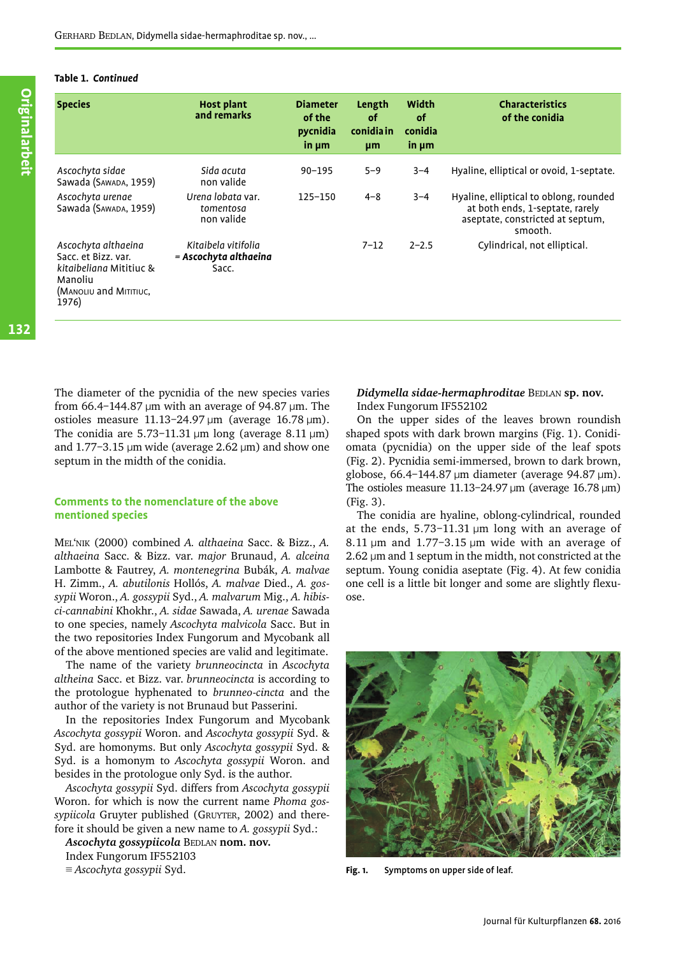## **Table 1.** *Continued*

| <b>Species</b>                                                                                                      | <b>Host plant</b><br>and remarks                      | <b>Diameter</b><br>of the<br>pycnidia<br>$in \mu m$ | Length<br><b>of</b><br>conidia in<br>µm | Width<br><b>of</b><br>conidia<br>$in \mu m$ | <b>Characteristics</b><br>of the conidia                                                                                 |
|---------------------------------------------------------------------------------------------------------------------|-------------------------------------------------------|-----------------------------------------------------|-----------------------------------------|---------------------------------------------|--------------------------------------------------------------------------------------------------------------------------|
| Ascochyta sidae<br>Sawada (SAWADA, 1959)                                                                            | Sida acuta<br>non valide                              | $90 - 195$                                          | $5 - 9$                                 | $3 - 4$                                     | Hyaline, elliptical or ovoid, 1-septate.                                                                                 |
| Ascochyta urenae<br>Sawada (SAWADA, 1959)                                                                           | Urena lobata var.<br>tomentosa<br>non valide          | $125 - 150$                                         | $4 - 8$                                 | $3 - 4$                                     | Hyaline, elliptical to oblong, rounded<br>at both ends, 1-septate, rarely<br>aseptate, constricted at septum,<br>smooth. |
| Ascochyta althaeina<br>Sacc. et Bizz. var.<br>kitaibeliana Mititiuc &<br>Manoliu<br>(MANOLIU and MITITIUC,<br>1976) | Kitaibela vitifolia<br>= Ascochyta althaeina<br>Sacc. |                                                     | $7 - 12$                                | $2 - 2.5$                                   | Cylindrical, not elliptical.                                                                                             |

**Originalarbeit** 

The diameter of the pycnidia of the new species varies from  $66.4$ –144.87 μm with an average of 94.87 μm. The ostioles measure 11.13–24.97 μm (average 16.78 μm). The conidia are 5.73–11.31  $\mu$ m long (average 8.11  $\mu$ m) and 1.77-3.15  $\mu$ m wide (average 2.62  $\mu$ m) and show one septum in the midth of the conidia.

# **Comments to the nomenclature of the above mentioned species**

MEL'NIK (2000) combined *A. althaeina* Sacc. & Bizz., *A. althaeina* Sacc. & Bizz. var. *major* Brunaud, *A. alceina* Lambotte & Fautrey, *A. montenegrina* Bubák, *A. malvae* H. Zimm., *A. abutilonis* Hollós, *A. malvae* Died., *A. gossypii* Woron., *A. gossypii* Syd., *A. malvarum* Mig., *A. hibisci-cannabini* Khokhr., *A. sidae* Sawada, *A. urenae* Sawada to one species, namely *Ascochyta malvicola* Sacc. But in the two repositories Index Fungorum and Mycobank all of the above mentioned species are valid and legitimate.

The name of the variety *brunneocincta* in *Ascochyta altheina* Sacc. et Bizz. var. *brunneocincta* is according to the protologue hyphenated to *brunneo*-*cincta* and the author of the variety is not Brunaud but Passerini.

In the repositories Index Fungorum and Mycobank *Ascochyta gossypii* Woron. and *Ascochyta gossypii* Syd. & Syd. are homonyms. But only *Ascochyta gossypii* Syd. & Syd. is a homonym to *Ascochyta gossypii* Woron. and besides in the protologue only Syd. is the author.

*Ascochyta gossypii* Syd. differs from *Ascochyta gossypii* Woron. for which is now the current name *Phoma gossypiicola* Gruyter published (GRUYTER, 2002) and therefore it should be given a new name to *A. gossypii* Syd.:

*Ascochyta gossypiicola* BEDLAN **nom. nov.** Index Fungorum IF552103

≡ *Ascochyta gossypii* Syd.

# *Didymella sidae-hermaphroditae* BEDLAN **sp. nov.** Index Fungorum IF552102

On the upper sides of the leaves brown roundish shaped spots with dark brown margins (Fig. [1](#page-2-0)). Conidiomata (pycnidia) on the upper side of the leaf spots (Fig. [2\)](#page-3-0). Pycnidia semi-immersed, brown to dark brown, globose, 66.4–144.87 μm diameter (average 94.87 μm). The ostioles measure  $11.13-24.97 \,\text{\mu m}$  (average  $16.78 \,\text{\mu m}$ ) (Fig. [3\)](#page-3-1).

The conidia are hyaline, oblong-cylindrical, rounded at the ends, 5.73–11.31 μm long with an average of 8.11  $\mu$ m and 1.77-3.15  $\mu$ m wide with an average of 2.62 μm and 1 septum in the midth, not constricted at the septum. Young conidia aseptate (Fig. [4\)](#page-3-2). At few conidia one cell is a little bit longer and some are slightly flexuose.

<span id="page-2-0"></span>

**Fig. 1.** Symptoms on upper side of leaf.